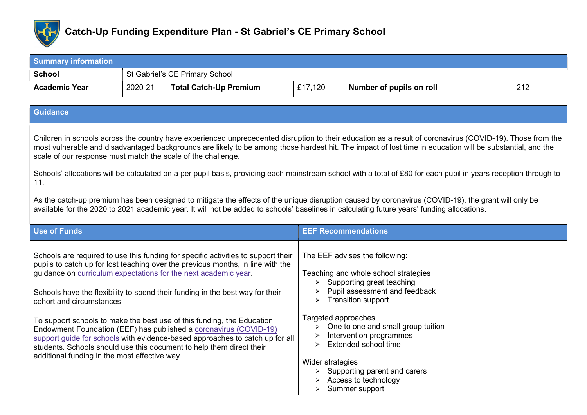

| <b>Summary information</b> |                                |                               |         |                          |     |
|----------------------------|--------------------------------|-------------------------------|---------|--------------------------|-----|
| School                     | St Gabriel's CE Primary School |                               |         |                          |     |
| <b>Academic Year</b>       | 2020-21                        | <b>Total Catch-Up Premium</b> | £17,120 | Number of pupils on roll | 212 |

## **Guidance**

Children in schools across the country have experienced unprecedented disruption to their education as a result of coronavirus (COVID-19). Those from the most vulnerable and disadvantaged backgrounds are likely to be among those hardest hit. The impact of lost time in education will be substantial, and the scale of our response must match the scale of the challenge.

Schools' allocations will be calculated on a per pupil basis, providing each mainstream school with a total of £80 for each pupil in years reception through to 11.

As the catch-up premium has been designed to mitigate the effects of the unique disruption caused by coronavirus (COVID-19), the grant will only be available for the 2020 to 2021 academic year. It will not be added to schools' baselines in calculating future years' funding allocations.

| <b>Use of Funds</b>                                                                                                                                                                                                                                                                                                                                                                                                                                                                                                                                                                                                                                                                                           | <b>EEF Recommendations</b>                                                                                                                                                                                                                                                                                                                                                                                                                   |
|---------------------------------------------------------------------------------------------------------------------------------------------------------------------------------------------------------------------------------------------------------------------------------------------------------------------------------------------------------------------------------------------------------------------------------------------------------------------------------------------------------------------------------------------------------------------------------------------------------------------------------------------------------------------------------------------------------------|----------------------------------------------------------------------------------------------------------------------------------------------------------------------------------------------------------------------------------------------------------------------------------------------------------------------------------------------------------------------------------------------------------------------------------------------|
| Schools are required to use this funding for specific activities to support their<br>pupils to catch up for lost teaching over the previous months, in line with the<br>guidance on curriculum expectations for the next academic year.<br>Schools have the flexibility to spend their funding in the best way for their<br>cohort and circumstances.<br>To support schools to make the best use of this funding, the Education<br>Endowment Foundation (EEF) has published a coronavirus (COVID-19)<br>support guide for schools with evidence-based approaches to catch up for all<br>students. Schools should use this document to help them direct their<br>additional funding in the most effective way. | The EEF advises the following:<br>Teaching and whole school strategies<br>$\triangleright$ Supporting great teaching<br>Pupil assessment and feedback<br><b>Transition support</b><br>➤<br>Targeted approaches<br>$\triangleright$ One to one and small group tuition<br>Intervention programmes<br>Extended school time<br>➤<br>Wider strategies<br>$\triangleright$ Supporting parent and carers<br>Access to technology<br>Summer support |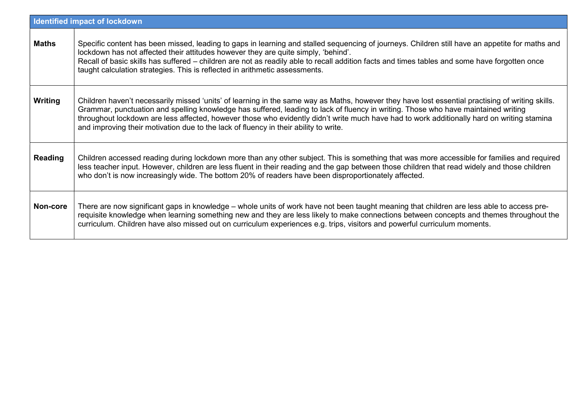| Identified impact of lockdown |                                                                                                                                                                                                                                                                                                                                                                                                                                                                                                                              |  |
|-------------------------------|------------------------------------------------------------------------------------------------------------------------------------------------------------------------------------------------------------------------------------------------------------------------------------------------------------------------------------------------------------------------------------------------------------------------------------------------------------------------------------------------------------------------------|--|
| <b>Maths</b>                  | Specific content has been missed, leading to gaps in learning and stalled sequencing of journeys. Children still have an appetite for maths and<br>lockdown has not affected their attitudes however they are quite simply, 'behind'.<br>Recall of basic skills has suffered - children are not as readily able to recall addition facts and times tables and some have forgotten once<br>taught calculation strategies. This is reflected in arithmetic assessments.                                                        |  |
| Writing                       | Children haven't necessarily missed 'units' of learning in the same way as Maths, however they have lost essential practising of writing skills.<br>Grammar, punctuation and spelling knowledge has suffered, leading to lack of fluency in writing. Those who have maintained writing<br>throughout lockdown are less affected, however those who evidently didn't write much have had to work additionally hard on writing stamina<br>and improving their motivation due to the lack of fluency in their ability to write. |  |
| <b>Reading</b>                | Children accessed reading during lockdown more than any other subject. This is something that was more accessible for families and required<br>less teacher input. However, children are less fluent in their reading and the gap between those children that read widely and those children<br>who don't is now increasingly wide. The bottom 20% of readers have been disproportionately affected.                                                                                                                         |  |
| Non-core                      | There are now significant gaps in knowledge – whole units of work have not been taught meaning that children are less able to access pre-<br>requisite knowledge when learning something new and they are less likely to make connections between concepts and themes throughout the<br>curriculum. Children have also missed out on curriculum experiences e.g. trips, visitors and powerful curriculum moments.                                                                                                            |  |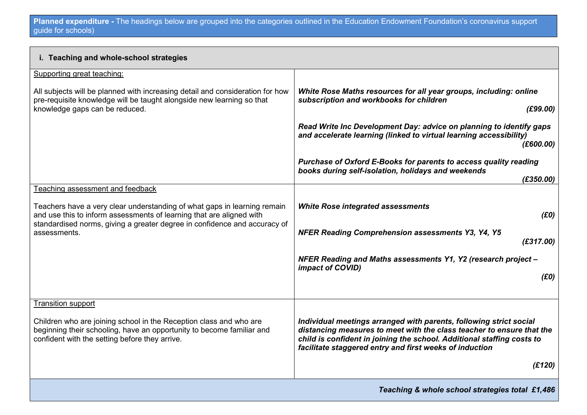| i. Teaching and whole-school strategies                                                                                                                                                                                       |                                                                                                                                                                                                                                                                                  |  |
|-------------------------------------------------------------------------------------------------------------------------------------------------------------------------------------------------------------------------------|----------------------------------------------------------------------------------------------------------------------------------------------------------------------------------------------------------------------------------------------------------------------------------|--|
| Supporting great teaching:                                                                                                                                                                                                    |                                                                                                                                                                                                                                                                                  |  |
| All subjects will be planned with increasing detail and consideration for how<br>pre-requisite knowledge will be taught alongside new learning so that<br>knowledge gaps can be reduced.                                      | White Rose Maths resources for all year groups, including: online<br>subscription and workbooks for children<br>(E99.00)                                                                                                                                                         |  |
|                                                                                                                                                                                                                               | Read Write Inc Development Day: advice on planning to identify gaps<br>and accelerate learning (linked to virtual learning accessibility)<br>(E600.00)                                                                                                                           |  |
|                                                                                                                                                                                                                               | Purchase of Oxford E-Books for parents to access quality reading<br>books during self-isolation, holidays and weekends<br>(E350.00)                                                                                                                                              |  |
| Teaching assessment and feedback                                                                                                                                                                                              |                                                                                                                                                                                                                                                                                  |  |
| Teachers have a very clear understanding of what gaps in learning remain<br>and use this to inform assessments of learning that are aligned with<br>standardised norms, giving a greater degree in confidence and accuracy of | <b>White Rose integrated assessments</b><br>(E0)                                                                                                                                                                                                                                 |  |
| assessments.                                                                                                                                                                                                                  | NFER Reading Comprehension assessments Y3, Y4, Y5<br>(E317.00)                                                                                                                                                                                                                   |  |
|                                                                                                                                                                                                                               | NFER Reading and Maths assessments Y1, Y2 (research project -<br>impact of COVID)                                                                                                                                                                                                |  |
|                                                                                                                                                                                                                               | (E0)                                                                                                                                                                                                                                                                             |  |
| <b>Transition support</b>                                                                                                                                                                                                     |                                                                                                                                                                                                                                                                                  |  |
| Children who are joining school in the Reception class and who are<br>beginning their schooling, have an opportunity to become familiar and<br>confident with the setting before they arrive.                                 | Individual meetings arranged with parents, following strict social<br>distancing measures to meet with the class teacher to ensure that the<br>child is confident in joining the school. Additional staffing costs to<br>facilitate staggered entry and first weeks of induction |  |
|                                                                                                                                                                                                                               | (E120)                                                                                                                                                                                                                                                                           |  |
| Teaching & whole school strategies total £1,486                                                                                                                                                                               |                                                                                                                                                                                                                                                                                  |  |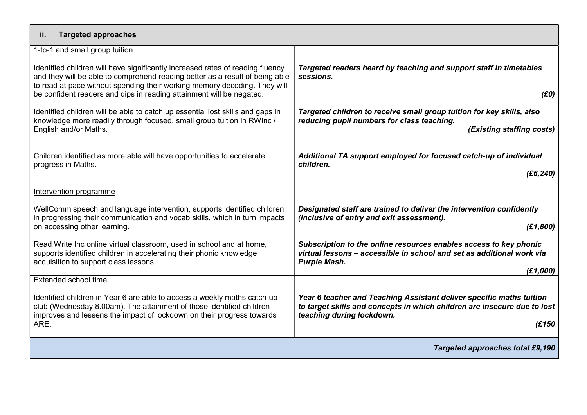| <b>Targeted approaches</b><br>ii.                                                                                                                                                                                                                                                                                   |                                                                                                                                                                                         |  |  |  |
|---------------------------------------------------------------------------------------------------------------------------------------------------------------------------------------------------------------------------------------------------------------------------------------------------------------------|-----------------------------------------------------------------------------------------------------------------------------------------------------------------------------------------|--|--|--|
| 1-to-1 and small group tuition                                                                                                                                                                                                                                                                                      |                                                                                                                                                                                         |  |  |  |
| Identified children will have significantly increased rates of reading fluency<br>and they will be able to comprehend reading better as a result of being able<br>to read at pace without spending their working memory decoding. They will<br>be confident readers and dips in reading attainment will be negated. | Targeted readers heard by teaching and support staff in timetables<br>sessions.<br>(E0)                                                                                                 |  |  |  |
| Identified children will be able to catch up essential lost skills and gaps in<br>knowledge more readily through focused, small group tuition in RWInc /<br>English and/or Maths.                                                                                                                                   | Targeted children to receive small group tuition for key skills, also<br>reducing pupil numbers for class teaching.<br>(Existing staffing costs)                                        |  |  |  |
| Children identified as more able will have opportunities to accelerate<br>progress in Maths.                                                                                                                                                                                                                        | Additional TA support employed for focused catch-up of individual<br>children.<br>(E6, 240)                                                                                             |  |  |  |
| Intervention programme                                                                                                                                                                                                                                                                                              |                                                                                                                                                                                         |  |  |  |
| WellComm speech and language intervention, supports identified children<br>in progressing their communication and vocab skills, which in turn impacts<br>on accessing other learning.                                                                                                                               | Designated staff are trained to deliver the intervention confidently<br>(inclusive of entry and exit assessment).<br>(E1, 800)                                                          |  |  |  |
| Read Write Inc online virtual classroom, used in school and at home,<br>supports identified children in accelerating their phonic knowledge<br>acquisition to support class lessons.                                                                                                                                | Subscription to the online resources enables access to key phonic<br>virtual lessons - accessible in school and set as additional work via<br><b>Purple Mash.</b><br>(E1,000)           |  |  |  |
| Extended school time                                                                                                                                                                                                                                                                                                |                                                                                                                                                                                         |  |  |  |
| Identified children in Year 6 are able to access a weekly maths catch-up<br>club (Wednesday 8.00am). The attainment of those identified children<br>improves and lessens the impact of lockdown on their progress towards<br>ARE.                                                                                   | Year 6 teacher and Teaching Assistant deliver specific maths tuition<br>to target skills and concepts in which children are insecure due to lost<br>teaching during lockdown.<br>(E150) |  |  |  |
| <b>Targeted approaches total £9,190</b>                                                                                                                                                                                                                                                                             |                                                                                                                                                                                         |  |  |  |